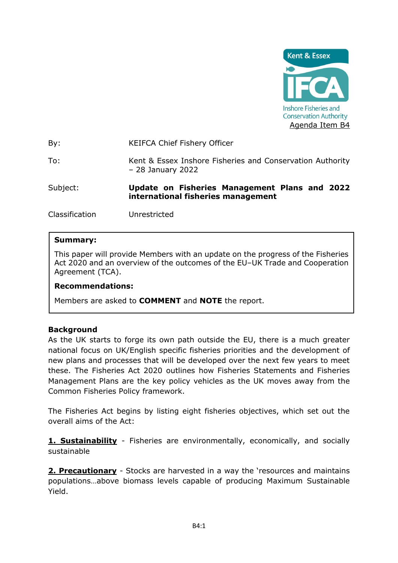

By: KEIFCA Chief Fishery Officer

To: Kent & Essex Inshore Fisheries and Conservation Authority – 28 January 2022

Subject: **Update on Fisheries Management Plans and 2022 international fisheries management** 

Classification Unrestricted

### **Summary:**

This paper will provide Members with an update on the progress of the Fisheries Act 2020 and an overview of the outcomes of the EU–UK Trade and Cooperation Agreement (TCA).

#### **Recommendations:**

Members are asked to **COMMENT** and **NOTE** the report.

#### **Background**

As the UK starts to forge its own path outside the EU, there is a much greater national focus on UK/English specific fisheries priorities and the development of new plans and processes that will be developed over the next few years to meet these. The Fisheries Act 2020 outlines how Fisheries Statements and Fisheries Management Plans are the key policy vehicles as the UK moves away from the Common Fisheries Policy framework.

The Fisheries Act begins by listing eight fisheries objectives, which set out the overall aims of the Act:

**1. Sustainability** - Fisheries are environmentally, economically, and socially sustainable

**2. Precautionary** - Stocks are harvested in a way the 'resources and maintains populations…above biomass levels capable of producing Maximum Sustainable Yield.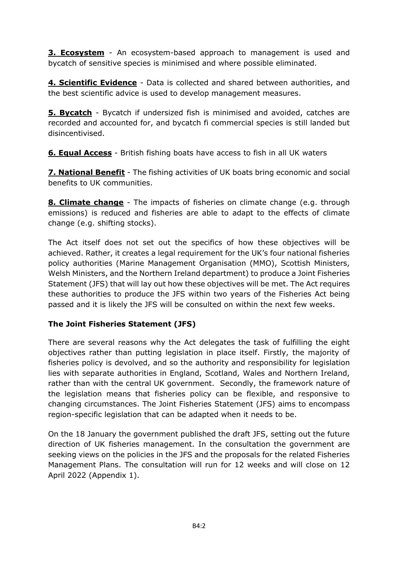**3. Ecosystem** - An ecosystem-based approach to management is used and bycatch of sensitive species is minimised and where possible eliminated.

**4. Scientific Evidence** - Data is collected and shared between authorities, and the best scientific advice is used to develop management measures.

**5. Bycatch** - Bycatch if undersized fish is minimised and avoided, catches are recorded and accounted for, and bycatch fi commercial species is still landed but disincentivised.

**6. Equal Access** - British fishing boats have access to fish in all UK waters

**7. National Benefit** - The fishing activities of UK boats bring economic and social benefits to UK communities.

**8. Climate change** - The impacts of fisheries on climate change (e.g. through emissions) is reduced and fisheries are able to adapt to the effects of climate change (e.g. shifting stocks).

The Act itself does not set out the specifics of how these objectives will be achieved. Rather, it creates a legal requirement for the UK's four national fisheries policy authorities (Marine Management Organisation (MMO), Scottish Ministers, Welsh Ministers, and the Northern Ireland department) to produce a Joint Fisheries Statement (JFS) that will lay out how these objectives will be met. The Act requires these authorities to produce the JFS within two years of the Fisheries Act being passed and it is likely the JFS will be consulted on within the next few weeks.

# **The Joint Fisheries Statement (JFS)**

There are several reasons why the Act delegates the task of fulfilling the eight objectives rather than putting legislation in place itself. Firstly, the majority of fisheries policy is devolved, and so the authority and responsibility for legislation lies with separate authorities in England, Scotland, Wales and Northern Ireland, rather than with the central UK government. Secondly, the framework nature of the legislation means that fisheries policy can be flexible, and responsive to changing circumstances. The Joint Fisheries Statement (JFS) aims to encompass region-specific legislation that can be adapted when it needs to be.

On the 18 January the government published the draft JFS, setting out the future direction of UK fisheries management. In the consultation the government are seeking views on the policies in the JFS and the proposals for the related Fisheries Management Plans. The consultation will run for 12 weeks and will close on 12 April 2022 (Appendix 1).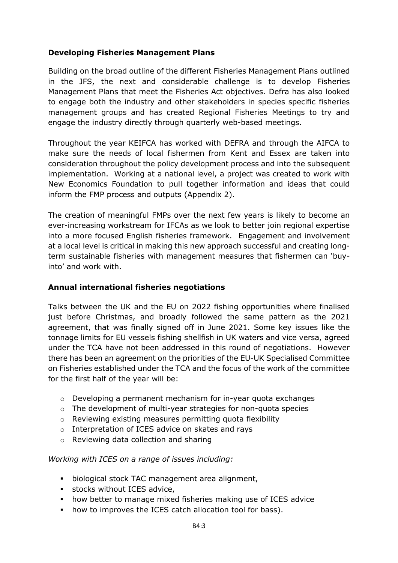## **Developing Fisheries Management Plans**

Building on the broad outline of the different Fisheries Management Plans outlined in the JFS, the next and considerable challenge is to develop Fisheries Management Plans that meet the Fisheries Act objectives. Defra has also looked to engage both the industry and other stakeholders in species specific fisheries management groups and has created Regional Fisheries Meetings to try and engage the industry directly through quarterly web-based meetings.

Throughout the year KEIFCA has worked with DEFRA and through the AIFCA to make sure the needs of local fishermen from Kent and Essex are taken into consideration throughout the policy development process and into the subsequent implementation. Working at a national level, a project was created to work with New Economics Foundation to pull together information and ideas that could inform the FMP process and outputs (Appendix 2).

The creation of meaningful FMPs over the next few years is likely to become an ever-increasing workstream for IFCAs as we look to better join regional expertise into a more focused English fisheries framework. Engagement and involvement at a local level is critical in making this new approach successful and creating longterm sustainable fisheries with management measures that fishermen can 'buyinto' and work with.

# **Annual international fisheries negotiations**

Talks between the UK and the EU on 2022 fishing opportunities where finalised just before Christmas, and broadly followed the same pattern as the 2021 agreement, that was finally signed off in June 2021. Some key issues like the tonnage limits for EU vessels fishing shellfish in UK waters and vice versa, agreed under the TCA have not been addressed in this round of negotiations. However there has been an agreement on the priorities of the EU-UK Specialised Committee on Fisheries established under the TCA and the focus of the work of the committee for the first half of the year will be:

- o Developing a permanent mechanism for in-year quota exchanges
- o The development of multi-year strategies for non-quota species
- o Reviewing existing measures permitting quota flexibility
- o Interpretation of ICES advice on skates and rays
- o Reviewing data collection and sharing

### *Working with ICES on a range of issues including:*

- biological stock TAC management area alignment,
- **EXECUTE:** stocks without ICES advice,
- how better to manage mixed fisheries making use of ICES advice
- how to improves the ICES catch allocation tool for bass).